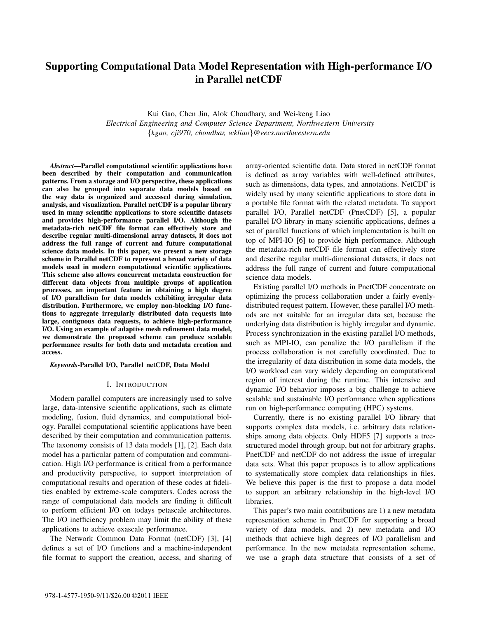# Supporting Computational Data Model Representation with High-performance I/O in Parallel netCDF

Kui Gao, Chen Jin, Alok Choudhary, and Wei-keng Liao *Electrical Engineering and Computer Science Department, Northwestern University* {*kgao, cji970, choudhar, wkliao*}*@eecs.northwestern.edu*

*Abstract*—Parallel computational scientific applications have been described by their computation and communication patterns. From a storage and I/O perspective, these applications can also be grouped into separate data models based on the way data is organized and accessed during simulation, analysis, and visualization. Parallel netCDF is a popular library used in many scientific applications to store scientific datasets and provides high-performance parallel I/O. Although the metadata-rich netCDF file format can effectively store and describe regular multi-dimensional array datasets, it does not address the full range of current and future computational science data models. In this paper, we present a new storage scheme in Parallel netCDF to represent a broad variety of data models used in modern computational scientific applications. This scheme also allows concurrent metadata construction for different data objects from multiple groups of application processes, an important feature in obtaining a high degree of I/O parallelism for data models exhibiting irregular data distribution. Furthermore, we employ non-blocking I/O functions to aggregate irregularly distributed data requests into large, contiguous data requests, to achieve high-performance I/O. Using an example of adaptive mesh refinement data model, we demonstrate the proposed scheme can produce scalable performance results for both data and metadata creation and access.

*Keywords*-Parallel I/O, Parallel netCDF, Data Model

#### I. INTRODUCTION

Modern parallel computers are increasingly used to solve large, data-intensive scientific applications, such as climate modeling, fusion, fluid dynamics, and computational biology. Parallel computational scientific applications have been described by their computation and communication patterns. The taxonomy consists of 13 data models [1], [2]. Each data model has a particular pattern of computation and communication. High I/O performance is critical from a performance and productivity perspective, to support interpretation of computational results and operation of these codes at fidelities enabled by extreme-scale computers. Codes across the range of computational data models are finding it difficult to perform efficient I/O on todays petascale architectures. The I/O inefficiency problem may limit the ability of these applications to achieve exascale performance.

The Network Common Data Format (netCDF) [3], [4] defines a set of I/O functions and a machine-independent file format to support the creation, access, and sharing of array-oriented scientific data. Data stored in netCDF format is defined as array variables with well-defined attributes, such as dimensions, data types, and annotations. NetCDF is widely used by many scientific applications to store data in a portable file format with the related metadata. To support parallel I/O, Parallel netCDF (PnetCDF) [5], a popular parallel I/O library in many scientific applications, defines a set of parallel functions of which implementation is built on top of MPI-IO [6] to provide high performance. Although the metadata-rich netCDF file format can effectively store and describe regular multi-dimensional datasets, it does not address the full range of current and future computational science data models.

Existing parallel I/O methods in PnetCDF concentrate on optimizing the process collaboration under a fairly evenlydistributed request pattern. However, these parallel I/O methods are not suitable for an irregular data set, because the underlying data distribution is highly irregular and dynamic. Process synchronization in the existing parallel I/O methods, such as MPI-IO, can penalize the I/O parallelism if the process collaboration is not carefully coordinated. Due to the irregularity of data distribution in some data models, the I/O workload can vary widely depending on computational region of interest during the runtime. This intensive and dynamic I/O behavior imposes a big challenge to achieve scalable and sustainable I/O performance when applications run on high-performance computing (HPC) systems.

Currently, there is no existing parallel I/O library that supports complex data models, i.e. arbitrary data relationships among data objects. Only HDF5 [7] supports a treestructured model through group, but not for arbitrary graphs. PnetCDF and netCDF do not address the issue of irregular data sets. What this paper proposes is to allow applications to systematically store complex data relationships in files. We believe this paper is the first to propose a data model to support an arbitrary relationship in the high-level I/O libraries.

This paper's two main contributions are 1) a new metadata representation scheme in PnetCDF for supporting a broad variety of data models, and 2) new metadata and I/O methods that achieve high degrees of I/O parallelism and performance. In the new metadata representation scheme, we use a graph data structure that consists of a set of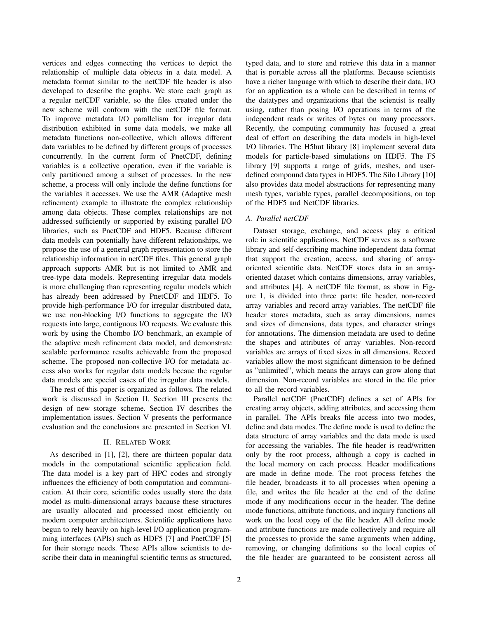vertices and edges connecting the vertices to depict the relationship of multiple data objects in a data model. A metadata format similar to the netCDF file header is also developed to describe the graphs. We store each graph as a regular netCDF variable, so the files created under the new scheme will conform with the netCDF file format. To improve metadata I/O parallelism for irregular data distribution exhibited in some data models, we make all metadata functions non-collective, which allows different data variables to be defined by different groups of processes concurrently. In the current form of PnetCDF, defining variables is a collective operation, even if the variable is only partitioned among a subset of processes. In the new scheme, a process will only include the define functions for the variables it accesses. We use the AMR (Adaptive mesh refinement) example to illustrate the complex relationship among data objects. These complex relationships are not addressed sufficiently or supported by existing parallel I/O libraries, such as PnetCDF and HDF5. Because different data models can potentially have different relationships, we propose the use of a general graph representation to store the relationship information in netCDF files. This general graph approach supports AMR but is not limited to AMR and tree-type data models. Representing irregular data models is more challenging than representing regular models which has already been addressed by PnetCDF and HDF5. To provide high-performance I/O for irregular distributed data, we use non-blocking I/O functions to aggregate the I/O requests into large, contiguous I/O requests. We evaluate this work by using the Chombo I/O benchmark, an example of the adaptive mesh refinement data model, and demonstrate scalable performance results achievable from the proposed scheme. The proposed non-collective I/O for metadata access also works for regular data models becaue the regular data models are special cases of the irregular data models.

The rest of this paper is organized as follows. The related work is discussed in Section II. Section III presents the design of new storage scheme. Section IV describes the implementation issues. Section V presents the performance evaluation and the conclusions are presented in Section VI.

## II. RELATED WORK

As described in [1], [2], there are thirteen popular data models in the computational scientific application field. The data model is a key part of HPC codes and strongly influences the efficiency of both computation and communication. At their core, scientific codes usually store the data model as multi-dimensional arrays bacause these structures are usually allocated and processed most efficiently on modern computer architectures. Scientific applications have begun to rely heavily on high-level I/O application programming interfaces (APIs) such as HDF5 [7] and PnetCDF [5] for their storage needs. These APIs allow scientists to describe their data in meaningful scientific terms as structured, typed data, and to store and retrieve this data in a manner that is portable across all the platforms. Because scientists have a richer language with which to describe their data, I/O for an application as a whole can be described in terms of the datatypes and organizations that the scientist is really using, rather than posing I/O operations in terms of the independent reads or writes of bytes on many processors. Recently, the computing community has focused a great deal of effort on describing the data models in high-level I/O libraries. The H5hut library [8] implement several data models for particle-based simulations on HDF5. The F5 library [9] supports a range of grids, meshes, and userdefined compound data types in HDF5. The Silo Library [10] also provides data model abstractions for representing many mesh types, variable types, parallel decompositions, on top of the HDF5 and NetCDF libraries.

# *A. Parallel netCDF*

Dataset storage, exchange, and access play a critical role in scientific applications. NetCDF serves as a software library and self-describing machine independent data format that support the creation, access, and sharing of arrayoriented scientific data. NetCDF stores data in an arrayoriented dataset which contains dimensions, array variables, and attributes [4]. A netCDF file format, as show in Figure 1, is divided into three parts: file header, non-record array variables and record array variables. The netCDF file header stores metadata, such as array dimensions, names and sizes of dimensions, data types, and character strings for annotations. The dimension metadata are used to define the shapes and attributes of array variables. Non-record variables are arrays of fixed sizes in all dimensions. Record variables allow the most significant dimension to be defined as "unlimited", which means the arrays can grow along that dimension. Non-record variables are stored in the file prior to all the record variables.

Parallel netCDF (PnetCDF) defines a set of APIs for creating array objects, adding attributes, and accessing them in parallel. The APIs breaks file access into two modes, define and data modes. The define mode is used to define the data structure of array variables and the data mode is used for accessing the variables. The file header is read/written only by the root process, although a copy is cached in the local memory on each process. Header modifications are made in define mode. The root process fetches the file header, broadcasts it to all processes when opening a file, and writes the file header at the end of the define mode if any modifications occur in the header. The define mode functions, attribute functions, and inquiry functions all work on the local copy of the file header. All define mode and attribute functions are made collectively and require all the processes to provide the same arguments when adding, removing, or changing definitions so the local copies of the file header are guaranteed to be consistent across all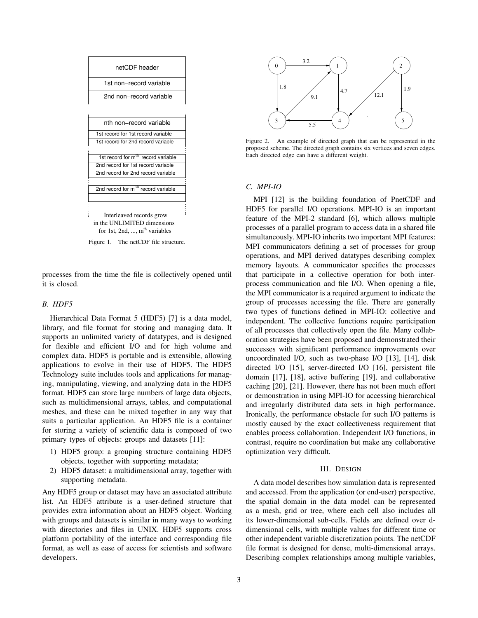

Figure 1. The netCDF file structure.

processes from the time the file is collectively opened until it is closed.

#### *B. HDF5*

Hierarchical Data Format 5 (HDF5) [7] is a data model, library, and file format for storing and managing data. It supports an unlimited variety of datatypes, and is designed for flexible and efficient I/O and for high volume and complex data. HDF5 is portable and is extensible, allowing applications to evolve in their use of HDF5. The HDF5 Technology suite includes tools and applications for managing, manipulating, viewing, and analyzing data in the HDF5 format. HDF5 can store large numbers of large data objects, such as multidimensional arrays, tables, and computational meshes, and these can be mixed together in any way that suits a particular application. An HDF5 file is a container for storing a variety of scientific data is composed of two primary types of objects: groups and datasets [11]:

- 1) HDF5 group: a grouping structure containing HDF5 objects, together with supporting metadata;
- 2) HDF5 dataset: a multidimensional array, together with supporting metadata.

Any HDF5 group or dataset may have an associated attribute list. An HDF5 attribute is a user-defined structure that provides extra information about an HDF5 object. Working with groups and datasets is similar in many ways to working with directories and files in UNIX. HDF5 supports cross platform portability of the interface and corresponding file format, as well as ease of access for scientists and software developers.



Figure 2. An example of directed graph that can be represented in the proposed scheme. The directed graph contains six vertices and seven edges. Each directed edge can have a different weight.

# *C. MPI-IO*

MPI [12] is the building foundation of PnetCDF and HDF5 for parallel I/O operations. MPI-IO is an important feature of the MPI-2 standard [6], which allows multiple processes of a parallel program to access data in a shared file simultaneously. MPI-IO inherits two important MPI features: MPI communicators defining a set of processes for group operations, and MPI derived datatypes describing complex memory layouts. A communicator specifies the processes that participate in a collective operation for both interprocess communication and file I/O. When opening a file, the MPI communicator is a required argument to indicate the group of processes accessing the file. There are generally two types of functions defined in MPI-IO: collective and independent. The collective functions require participation of all processes that collectively open the file. Many collaboration strategies have been proposed and demonstrated their successes with significant performance improvements over uncoordinated I/O, such as two-phase I/O [13], [14], disk directed I/O [15], server-directed I/O [16], persistent file domain [17], [18], active buffering [19], and collaborative caching [20], [21]. However, there has not been much effort or demonstration in using MPI-IO for accessing hierarchical and irregularly distributed data sets in high performance. Ironically, the performance obstacle for such I/O patterns is mostly caused by the exact collectiveness requirement that enables process collaboration. Independent I/O functions, in contrast, require no coordination but make any collaborative optimization very difficult.

#### III. DESIGN

A data model describes how simulation data is represented and accessed. From the application (or end-user) perspective, the spatial domain in the data model can be represented as a mesh, grid or tree, where each cell also includes all its lower-dimensional sub-cells. Fields are defined over ddimensional cells, with multiple values for different time or other independent variable discretization points. The netCDF file format is designed for dense, multi-dimensional arrays. Describing complex relationships among multiple variables,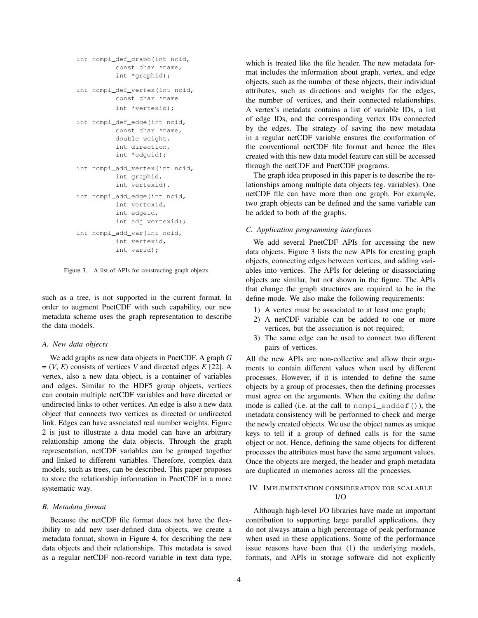```
int ncmpi_add_var(int ncid,
           const char *name,
           int *graphid);
int ncmpi_def_vertex(int ncid,
           const char *name
           int *vertexid);
           const char *name,
int ncmpi_def_edge(int ncid,
           double weight,
           int direction,
           int *edgeid);
int ncmpi_add_vertex(int ncid,
           int graphid,
           int vertexid).
           int vertexid,
           int edgeid,
           int adj_vertexid);
int ncmpi_add_edge(int ncid,
           int vertexid,
           int varid);
int ncmpi_def_graph(int ncid,
```
Figure 3. A list of APIs for constructing graph objects.

such as a tree, is not supported in the current format. In order to augment PnetCDF with such capability, our new metadata scheme uses the graph representation to describe the data models.

#### *A. New data objects*

We add graphs as new data objects in PnetCDF. A graph *G*  $= (V, E)$  consists of vertices *V* and directed edges *E* [22]. A vertex, also a new data object, is a container of variables and edges. Similar to the HDF5 group objects, vertices can contain multiple netCDF variables and have directed or undirected links to other vertices. An edge is also a new data object that connects two vertices as directed or undirected link. Edges can have associated real number weights. Figure 2 is just to illustrate a data model can have an arbitrary relationship among the data objects. Through the graph representation, netCDF variables can be grouped together and linked to different variables. Therefore, complex data models, such as trees, can be described. This paper proposes to store the relationship information in PnetCDF in a more systematic way.

# *B. Metadata format*

Because the netCDF file format does not have the flexibility to add new user-defined data objects, we create a metadata format, shown in Figure 4, for describing the new data objects and their relationships. This metadata is saved as a regular netCDF non-record variable in text data type, which is treated like the file header. The new metadata format includes the information about graph, vertex, and edge objects, such as the number of these objects, their individual attributes, such as directions and weights for the edges, the number of vertices, and their connected relationships. A vertex's metadata contains a list of variable IDs, a list of edge IDs, and the corresponding vertex IDs connected by the edges. The strategy of saving the new metadata in a regular netCDF variable ensures the conformation of the conventional netCDF file format and hence the files created with this new data model feature can still be accessed through the netCDF and PnetCDF programs.

The graph idea proposed in this paper is to describe the relationships among multiple data objects (eg. variables). One netCDF file can have more than one graph. For example, two graph objects can be defined and the same variable can be added to both of the graphs.

#### *C. Application programming interfaces*

We add several PnetCDF APIs for accessing the new data objects. Figure 3 lists the new APIs for creating graph objects, connecting edges between vertices, and adding variables into vertices. The APIs for deleting or disassociating objects are similar, but not shown in the figure. The APIs that change the graph structures are required to be in the define mode. We also make the following requirements:

- 1) A vertex must be associated to at least one graph;
- 2) A netCDF variable can be added to one or more vertices, but the association is not required;
- 3) The same edge can be used to connect two different pairs of vertices.

All the new APIs are non-collective and allow their arguments to contain different values when used by different processes. However, if it is intended to define the same objects by a group of processes, then the defining processes must agree on the arguments. When the exiting the define mode is called (i.e. at the call to nompiend  $\det(f)$ ), the metadata consistency will be performed to check and merge the newly created objects. We use the object names as unique keys to tell if a group of defined calls is for the same object or not. Hence, defining the same objects for different processes the attributes must have the same argument values. Once the objects are merged, the header and graph metadata are duplicated in memories across all the processes.

## IV. IMPLEMENTATION CONSIDERATION FOR SCALABLE  $I/\Omega$

Although high-level I/O libraries have made an important contribution to supporting large parallel applications, they do not always attain a high percentage of peak performance when used in these applications. Some of the performance issue reasons have been that (1) the underlying models, formats, and APIs in storage software did not explicitly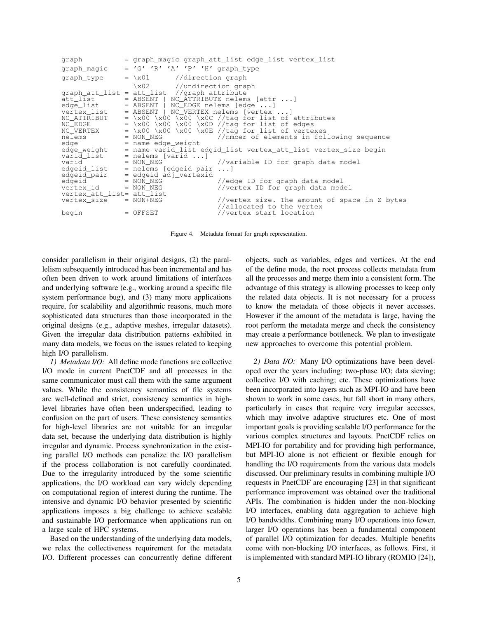| graph                                                                                                                                                                                                                |                                                                                                                                                                                                                                                                                                                                                                                   | = graph_magic graph_att_list edge_list vertex_list                                                                                                                                                                                                                                                                                                                                                                                                              |
|----------------------------------------------------------------------------------------------------------------------------------------------------------------------------------------------------------------------|-----------------------------------------------------------------------------------------------------------------------------------------------------------------------------------------------------------------------------------------------------------------------------------------------------------------------------------------------------------------------------------|-----------------------------------------------------------------------------------------------------------------------------------------------------------------------------------------------------------------------------------------------------------------------------------------------------------------------------------------------------------------------------------------------------------------------------------------------------------------|
| graph magic                                                                                                                                                                                                          | = $'G'$ 'R' 'A' 'P' 'H' graph_type                                                                                                                                                                                                                                                                                                                                                |                                                                                                                                                                                                                                                                                                                                                                                                                                                                 |
| qraph_type                                                                                                                                                                                                           | $= \x01$ //direction graph                                                                                                                                                                                                                                                                                                                                                        |                                                                                                                                                                                                                                                                                                                                                                                                                                                                 |
| att_list<br>NC_ATTRIBUT<br>NC EDGE<br>NC VERTEX<br>nelems<br>edge<br>edge_weight<br>varid list<br>varid<br>edgeid_list<br>edgeid_pair<br>edgeid<br>vertex_id<br>vertex_att_list= att_list<br>$vertex_size = NON+NEG$ | \x02 //undirection graph<br>graph_att_list = att_list //graph attribute<br>$=$ ABSENT   NC_ATTRIBUTE nelems [attr ]<br>$edge_list = ABSENT   NC_EDG = nelements [edge ]$<br>$vertex_list = ABSENT   NC_VERTEX nelems [vertex ]$<br>$=$ NON NEG<br>$=$ name edge_weight<br>$=$ nelems [varid ]<br>$=$ nelems [edgeid pair ]<br>= edgeid adj_vertexid<br>$=$ NON NEG<br>$=$ NON NEG | $= \x00 \x00 \x00 \x00 \x00$ /xanger list of attributes<br>$= \x00 \x00 \x00 \x00 \x0D //tag for list of edges$<br>$= \x00 \x00 \x00 \x00$ x0E //tag for list of vertexes<br>//nmber of elements in following sequence<br>= name varid_list edgid_list vertex_att_list vertex_size begin<br>= NON_NEG //variable ID for graph data model<br>//edge ID for graph data model<br>//vertex ID for graph data model<br>//vertex size. The amount of space in Z bytes |
| begin                                                                                                                                                                                                                | $=$ OFFSET                                                                                                                                                                                                                                                                                                                                                                        | //allocated to the vertex<br>//vertex start location                                                                                                                                                                                                                                                                                                                                                                                                            |

Figure 4. Metadata format for graph representation.

consider parallelism in their original designs, (2) the parallelism subsequently introduced has been incremental and has often been driven to work around limitations of interfaces and underlying software (e.g., working around a specific file system performance bug), and (3) many more applications require, for scalability and algorithmic reasons, much more sophisticated data structures than those incorporated in the original designs (e.g., adaptive meshes, irregular datasets). Given the irregular data distribution patterns exhibited in many data models, we focus on the issues related to keeping high I/O parallelism.

*1) Metadata I/O:* All define mode functions are collective I/O mode in current PnetCDF and all processes in the same communicator must call them with the same argument values. While the consistency semantics of file systems are well-defined and strict, consistency semantics in highlevel libraries have often been underspecified, leading to confusion on the part of users. These consistency semantics for high-level libraries are not suitable for an irregular data set, because the underlying data distribution is highly irregular and dynamic. Process synchronization in the existing parallel I/O methods can penalize the I/O parallelism if the process collaboration is not carefully coordinated. Due to the irregularity introduced by the some scientific applications, the I/O workload can vary widely depending on computational region of interest during the runtime. The intensive and dynamic I/O behavior presented by scientific applications imposes a big challenge to achieve scalable and sustainable I/O performance when applications run on a large scale of HPC systems.

Based on the understanding of the underlying data models, we relax the collectiveness requirement for the metadata I/O. Different processes can concurrently define different objects, such as variables, edges and vertices. At the end of the define mode, the root process collects metadata from all the processes and merge them into a consistent form. The advantage of this strategy is allowing processes to keep only the related data objects. It is not necessary for a process to know the metadata of those objects it never accesses. However if the amount of the metadata is large, having the root perform the metadata merge and check the consistency may create a performance bottleneck. We plan to investigate new approaches to overcome this potential problem.

*2) Data I/O:* Many I/O optimizations have been developed over the years including: two-phase I/O; data sieving; collective I/O with caching; etc. These optimizations have been incorporated into layers such as MPI-IO and have been shown to work in some cases, but fall short in many others, particularly in cases that require very irregular accesses, which may involve adaptive structures etc. One of most important goals is providing scalable I/O performance for the various complex structures and layouts. PnetCDF relies on MPI-IO for portability and for providing high performance, but MPI-IO alone is not efficient or flexible enough for handling the I/O requirements from the various data models discussed. Our preliminary results in combining multiple I/O requests in PnetCDF are encouraging [23] in that significant performance improvement was obtained over the traditional APIs. The combination is hidden under the non-blocking I/O interfaces, enabling data aggregation to achieve high I/O bandwidths. Combining many I/O operations into fewer, larger I/O operations has been a fundamental component of parallel I/O optimization for decades. Multiple benefits come with non-blocking I/O interfaces, as follows. First, it is implemented with standard MPI-IO library (ROMIO [24]),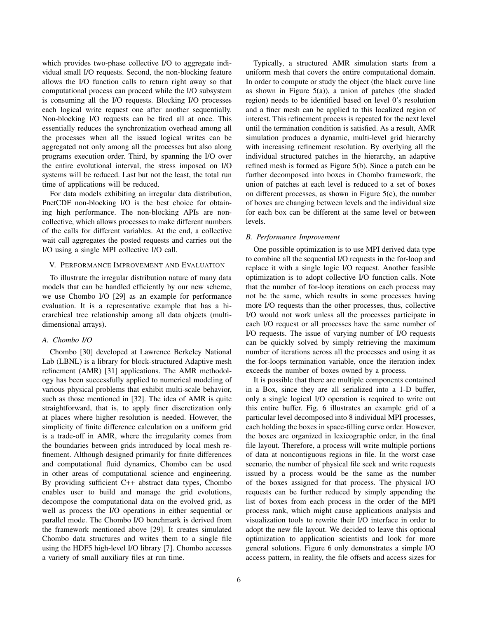which provides two-phase collective I/O to aggregate individual small I/O requests. Second, the non-blocking feature allows the I/O function calls to return right away so that computational process can proceed while the I/O subsystem is consuming all the I/O requests. Blocking I/O processes each logical write request one after another sequentially. Non-blocking I/O requests can be fired all at once. This essentially reduces the synchronization overhead among all the processes when all the issued logical writes can be aggregated not only among all the processes but also along programs execution order. Third, by spanning the I/O over the entire evolutional interval, the stress imposed on I/O systems will be reduced. Last but not the least, the total run time of applications will be reduced.

For data models exhibiting an irregular data distribution, PnetCDF non-blocking I/O is the best choice for obtaining high performance. The non-blocking APIs are noncollective, which allows processes to make different numbers of the calls for different variables. At the end, a collective wait call aggregates the posted requests and carries out the I/O using a single MPI collective I/O call.

## V. PERFORMANCE IMPROVEMENT AND EVALUATION

To illustrate the irregular distribution nature of many data models that can be handled efficiently by our new scheme, we use Chombo I/O [29] as an example for performance evaluation. It is a representative example that has a hierarchical tree relationship among all data objects (multidimensional arrays).

#### *A. Chombo I/O*

Chombo [30] developed at Lawrence Berkeley National Lab (LBNL) is a library for block-structured Adaptive mesh refinement (AMR) [31] applications. The AMR methodology has been successfully applied to numerical modeling of various physical problems that exhibit multi-scale behavior, such as those mentioned in [32]. The idea of AMR is quite straightforward, that is, to apply finer discretization only at places where higher resolution is needed. However, the simplicity of finite difference calculation on a uniform grid is a trade-off in AMR, where the irregularity comes from the boundaries between grids introduced by local mesh refinement. Although designed primarily for finite differences and computational fluid dynamics, Chombo can be used in other areas of computational science and engineering. By providing sufficient C++ abstract data types, Chombo enables user to build and manage the grid evolutions, decompose the computational data on the evolved grid, as well as process the I/O operations in either sequential or parallel mode. The Chombo I/O benchmark is derived from the framework mentioned above [29]. It creates simulated Chombo data structures and writes them to a single file using the HDF5 high-level I/O library [7]. Chombo accesses a variety of small auxiliary files at run time.

Typically, a structured AMR simulation starts from a uniform mesh that covers the entire computational domain. In order to compute or study the object (the black curve line as shown in Figure  $5(a)$ ), a union of patches (the shaded region) needs to be identified based on level 0's resolution and a finer mesh can be applied to this localized region of interest. This refinement process is repeated for the next level until the termination condition is satisfied. As a result, AMR simulation produces a dynamic, multi-level grid hierarchy with increasing refinement resolution. By overlying all the individual structured patches in the hierarchy, an adaptive refined mesh is formed as Figure 5(b). Since a patch can be further decomposed into boxes in Chombo framework, the union of patches at each level is reduced to a set of boxes on different processes, as shown in Figure  $5(c)$ , the number of boxes are changing between levels and the individual size for each box can be different at the same level or between levels.

## *B. Performance Improvement*

One possible optimization is to use MPI derived data type to combine all the sequential I/O requests in the for-loop and replace it with a single logic I/O request. Another feasible optimization is to adopt collective I/O function calls. Note that the number of for-loop iterations on each process may not be the same, which results in some processes having more I/O requests than the other processes, thus, collective I/O would not work unless all the processes participate in each I/O request or all processes have the same number of I/O requests. The issue of varying number of I/O requests can be quickly solved by simply retrieving the maximum number of iterations across all the processes and using it as the for-loops termination variable, once the iteration index exceeds the number of boxes owned by a process.

It is possible that there are multiple components contained in a Box, since they are all serialized into a 1-D buffer, only a single logical I/O operation is required to write out this entire buffer. Fig. 6 illustrates an example grid of a particular level decomposed into 8 individual MPI processes, each holding the boxes in space-filling curve order. However, the boxes are organized in lexicographic order, in the final file layout. Therefore, a process will write multiple portions of data at noncontiguous regions in file. In the worst case scenario, the number of physical file seek and write requests issued by a process would be the same as the number of the boxes assigned for that process. The physical I/O requests can be further reduced by simply appending the list of boxes from each process in the order of the MPI process rank, which might cause applications analysis and visualization tools to rewrite their I/O interface in order to adopt the new file layout. We decided to leave this optional optimization to application scientists and look for more general solutions. Figure 6 only demonstrates a simple I/O access pattern, in reality, the file offsets and access sizes for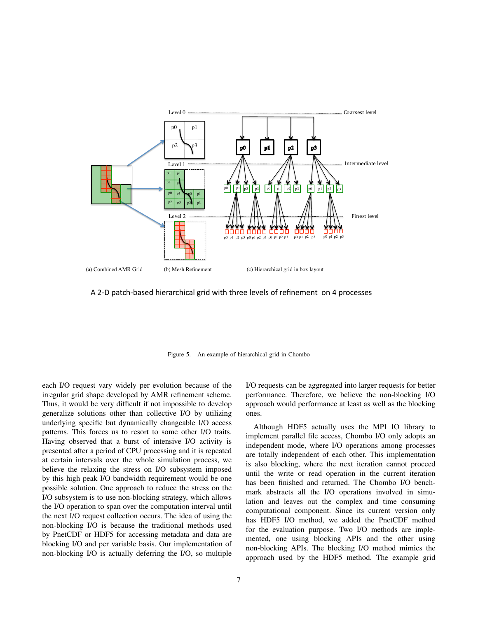

A 2-D patch-based hierarchical grid with three levels of refinement on 4 processes



each I/O request vary widely per evolution because of the irregular grid shape developed by AMR refinement scheme. Thus, it would be very difficult if not impossible to develop generalize solutions other than collective I/O by utilizing underlying specific but dynamically changeable I/O access patterns. This forces us to resort to some other I/O traits. Having observed that a burst of intensive I/O activity is presented after a period of CPU processing and it is repeated at certain intervals over the whole simulation process, we believe the relaxing the stress on I/O subsystem imposed by this high peak I/O bandwidth requirement would be one possible solution. One approach to reduce the stress on the I/O subsystem is to use non-blocking strategy, which allows the I/O operation to span over the computation interval until the next I/O request collection occurs. The idea of using the non-blocking I/O is because the traditional methods used by PnetCDF or HDF5 for accessing metadata and data are blocking I/O and per variable basis. Our implementation of non-blocking I/O is actually deferring the I/O, so multiple I/O requests can be aggregated into larger requests for better performance. Therefore, we believe the non-blocking I/O approach would performance at least as well as the blocking ones.

Although HDF5 actually uses the MPI IO library to implement parallel file access, Chombo I/O only adopts an independent mode, where I/O operations among processes are totally independent of each other. This implementation is also blocking, where the next iteration cannot proceed until the write or read operation in the current iteration has been finished and returned. The Chombo I/O benchmark abstracts all the I/O operations involved in simulation and leaves out the complex and time consuming computational component. Since its current version only has HDF5 I/O method, we added the PnetCDF method for the evaluation purpose. Two I/O methods are implemented, one using blocking APIs and the other using non-blocking APIs. The blocking I/O method mimics the approach used by the HDF5 method. The example grid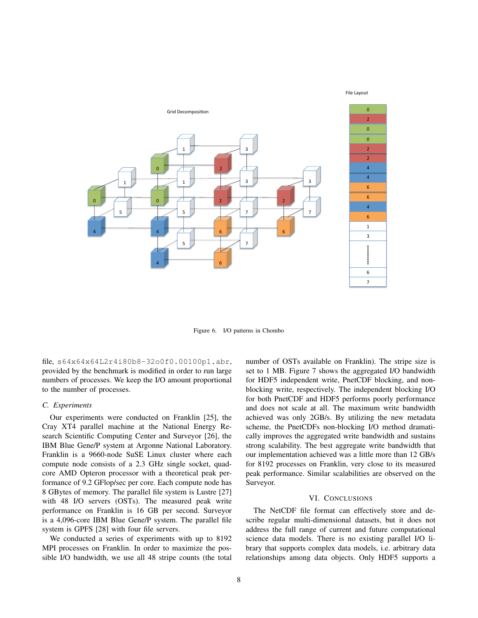

Figure 6. I/O patterns in Chombo

file, s64x64x64L2r4i80b8-32o0f0.00100p1.abr, provided by the benchmark is modified in order to run large numbers of processes. We keep the I/O amount proportional to the number of processes.

#### *C. Experiments*

Our experiments were conducted on Franklin [25], the Cray XT4 parallel machine at the National Energy Research Scientific Computing Center and Surveyor [26], the IBM Blue Gene/P system at Argonne National Laboratory. Franklin is a 9660-node SuSE Linux cluster where each compute node consists of a 2.3 GHz single socket, quadcore AMD Opteron processor with a theoretical peak performance of 9.2 GFlop/sec per core. Each compute node has 8 GBytes of memory. The parallel file system is Lustre [27] with 48 I/O servers (OSTs). The measured peak write performance on Franklin is 16 GB per second. Surveyor is a 4,096-core IBM Blue Gene/P system. The parallel file system is GPFS [28] with four file servers.

We conducted a series of experiments with up to 8192 MPI processes on Franklin. In order to maximize the possible I/O bandwidth, we use all 48 stripe counts (the total number of OSTs available on Franklin). The stripe size is set to 1 MB. Figure 7 shows the aggregated I/O bandwidth for HDF5 independent write, PnetCDF blocking, and nonblocking write, respectively. The independent blocking I/O for both PnetCDF and HDF5 performs poorly performance and does not scale at all. The maximum write bandwidth achieved was only 2GB/s. By utilizing the new metadata scheme, the PnetCDFs non-blocking I/O method dramatically improves the aggregated write bandwidth and sustains strong scalability. The best aggregate write bandwidth that our implementation achieved was a little more than 12 GB/s for 8192 processes on Franklin, very close to its measured peak performance. Similar scalabilities are observed on the Surveyor.

## VI. CONCLUSIONS

The NetCDF file format can effectively store and describe regular multi-dimensional datasets, but it does not address the full range of current and future computational science data models. There is no existing parallel I/O library that supports complex data models, i.e. arbitrary data relationships among data objects. Only HDF5 supports a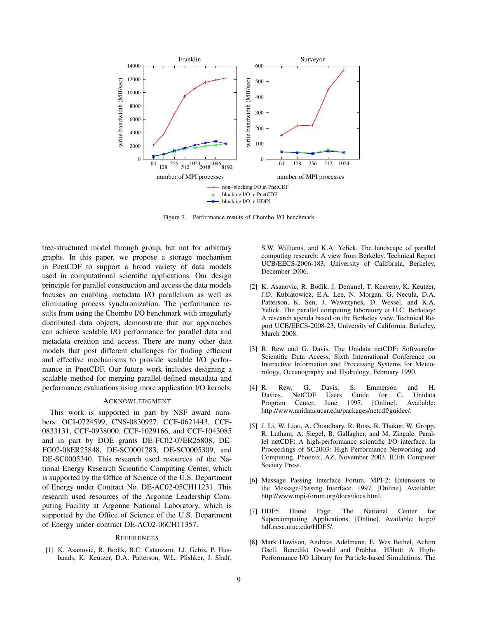

Figure 7. Performance results of Chombo I/O benchmark

tree-structured model through group, but not for arbitrary graphs. In this paper, we propose a storage mechanism in PnetCDF to support a broad variety of data models used in computational scientific applications. Our design principle for parallel construction and access the data models focuses on enabling metadata I/O parallelism as well as eliminating process synchronization. The performance results from using the Chombo I/O benchmark with irregularly distributed data objects, demonstrate that our approaches can achieve scalable I/O performance for parallel data and metadata creation and access. There are many other data models that post different challenges for finding efficient and effective mechanisms to provide scalable I/O performance in PnetCDF. Our future work includes designing a scalable method for merging parallel-defined metadata and performance evaluations using more application I/O kernels.

#### ACKNOWLEDGMENT

This work is supported in part by NSF award numbers: OCI-0724599, CNS-0830927, CCF-0621443, CCF-0833131, CCF-0938000, CCF-1029166, and CCF-1043085 and in part by DOE grants DE-FC02-07ER25808, DE-FG02-08ER25848, DE-SC0001283, DE-SC0005309, and DE-SC0005340. This research used resources of the National Energy Research Scientific Computing Center, which is supported by the Office of Science of the U.S. Department of Energy under Contract No. DE-AC02-05CH11231. This research used resources of the Argonne Leadership Computing Facility at Argonne National Laboratory, which is supported by the Office of Science of the U.S. Department of Energy under contract DE-AC02-06CH11357.

#### **REFERENCES**

[1] K. Asanovic, R. Bodik, B.C. Catanzaro, J.J. Gebis, P. Husbands, K. Keutzer, D.A. Patterson, W.L. Plishker, J. Shalf, S.W. Williams, and K.A. Yelick. The landscape of parallel computing research: A view from Berkeley. Technical Report UCB/EECS-2006-183, University of California, Berkeley, December 2006.

- [2] K. Asanovic, R. Bodik, J. Demmel, T. Keaveny, K. Keutzer, J.D. Kubiatowicz, E.A. Lee, N. Morgan, G. Necula, D.A. Patterson, K. Sen, J. Wawrzynek, D. Wessel, and K.A. Yelick. The parallel computing laboratory at U.C. Berkeley: A research agenda based on the Berkeley view. Technical Report UCB/EECS-2008-23, University of California, Berkeley, March 2008.
- [3] R. Rew and G. Davis. The Unidata netCDF: Softwarefor Scientific Data Access. Sixth International Conference on Interactive Information and Processing Systems for Meteorology, Oceanography and Hydrology, February 1990.
- [4] R. Rew, G. Davis, S. Emmerson and H. Davies. NetCDF Users Guide for C. Unidata Program Center, June 1997. [Online]. Available: http://www.unidata.ucar.edu/packages/netcdf/guidec/.
- [5] J. Li, W. Liao, A. Choudhary, R. Ross, R. Thakur, W. Gropp, R. Latham, A. Siegel, B. Gallagher, and M. Zingale. Parallel netCDF: A high-performance scientific I/O interface. In Proceedings of SC2003: High Performance Networking and Computing, Phoenix, AZ, November 2003. IEEE Computer Society Press.
- [6] Message Passing Interface Forum. MPI-2: Extensions to the Message-Passing Interface. 1997. [Online]. Available: http://www.mpi-forum.org/docs/docs.html.
- [7] HDF5 Home Page. The National Center for Supercomputing Applications. [Online]. Available: http:// hdf.ncsa.uiuc.edu/HDF5/.
- [8] Mark Howison, Andreas Adelmann, E. Wes Bethel, Achim Gsell, Benedikt Oswald and Prabhat. H5hut: A High-Performance I/O Library for Particle-based Simulations. The